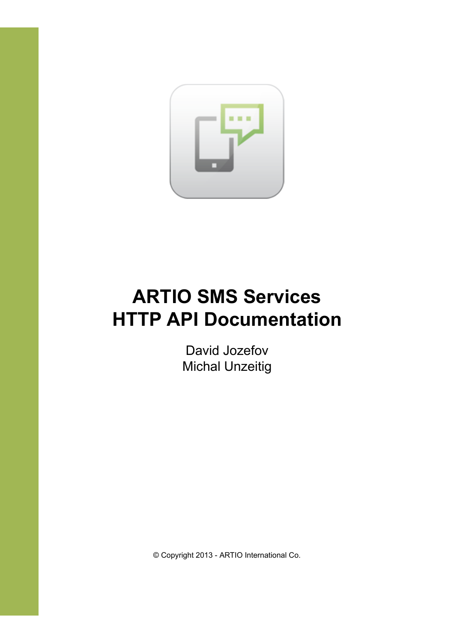

# **ARTIO SMS Services HTTP API Documentation**

David Jozefov Michal Unzeitig

© Copyright 2013 - ARTIO International Co.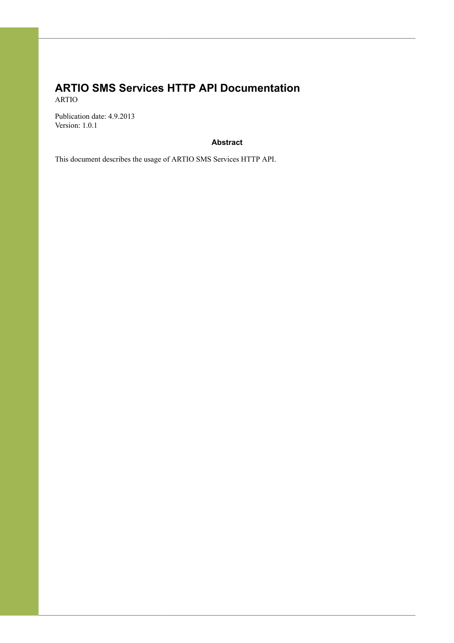### **ARTIO SMS Services HTTP API Documentation** ARTIO

Publication date: 4.9.2013 Version: 1.0.1

### **Abstract**

This document describes the usage of ARTIO SMS Services HTTP API.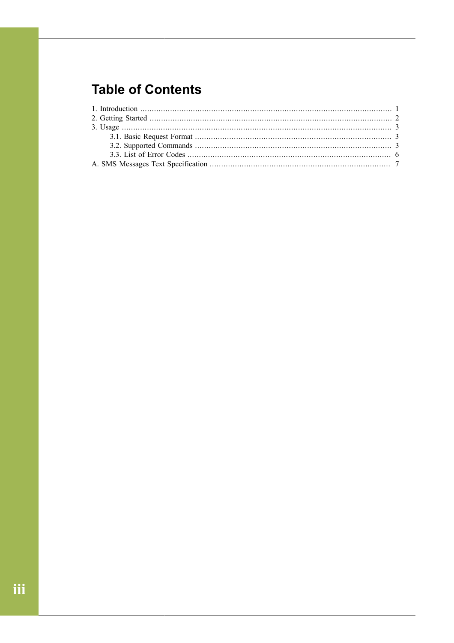# **Table of Contents**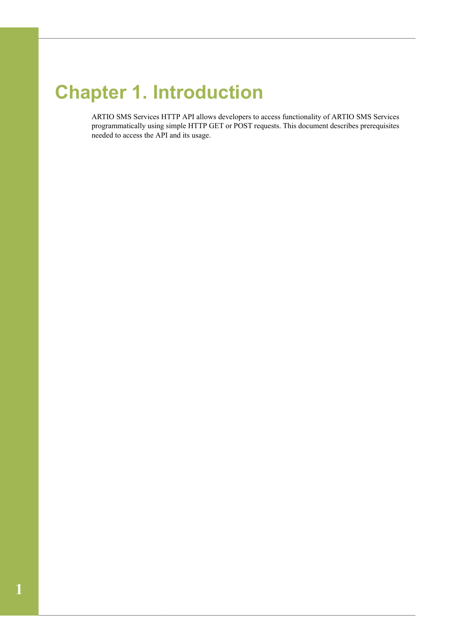# <span id="page-3-0"></span>**Chapter 1. Introduction**

ARTIO SMS Services HTTP API allows developers to access functionality of ARTIO SMS Services programmatically using simple HTTP GET or POST requests. This document describes prerequisites needed to access the API and its usage.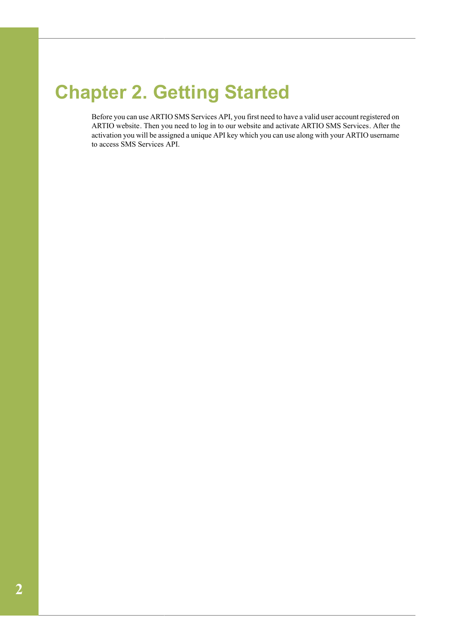# <span id="page-4-0"></span>**Chapter 2. Getting Started**

Before you can use ARTIO SMS Services API, you first need to have a valid user account registered on [ARTIO website](http://www.artio.net/). Then you need to log in to our website and activate [ARTIO SMS Services.](http://www.artio.net/sms-services/activation) After the activation you will be assigned a unique API key which you can use along with your ARTIO username to access SMS Services API.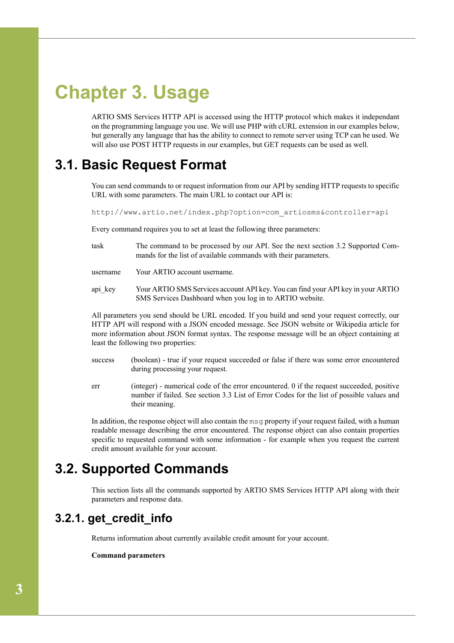# <span id="page-5-0"></span>**Chapter 3. Usage**

ARTIO SMS Services HTTP API is accessed using the HTTP protocol which makes it independant on the programming language you use. We will use PHP with cURL extension in our examples below, but generally any language that has the ability to connect to remote server using TCP can be used. We will also use POST HTTP requests in our examples, but GET requests can be used as well.

## <span id="page-5-1"></span>**3.1. Basic Request Format**

You can send commands to or request information from our API by sending HTTP requests to specific URL with some parameters. The main URL to contact our API is:

http://www.artio.net/index.php?option=com\_artiosms&controller=api

Every command requires you to set at least the following three parameters:

- task The command to be processed by our API. See the next section [3.2 Supported Com](#page-5-2)[mands](#page-5-2) for the list of available commands with their parameters.
- username Your ARTIO account username.
- api key Your ARTIO SMS Services account API key. You can find your API key in your ARTIO SMS Services Dashboard when you log in to ARTIO website.

All parameters you send should be URL encoded. If you build and send your request correctly, our HTTP API will respond with a JSON encoded message. See [JSON website](http://www.json.org/) or [Wikipedia article](http://en.wikipedia.org/wiki/JSON) for more information about JSON format syntax. The response message will be an object containing at least the following two properties:

- success (boolean) true if your request succeeded or false if there was some error encountered during processing your request.
- err (integer) numerical code of the error encountered. 0 if the request succeeded, positive number if failed. See section [3.3 List of Error Codes](#page-8-0) for the list of possible values and their meaning.

In addition, the response object will also contain the msg property if your request failed, with a human readable message describing the error encountered. The response object can also contain properties specific to requested command with some information - for example when you request the current credit amount available for your account.

## <span id="page-5-2"></span>**3.2. Supported Commands**

This section lists all the commands supported by ARTIO SMS Services HTTP API along with their parameters and response data.

## **3.2.1. get\_credit\_info**

Returns information about currently available credit amount for your account.

#### **Command parameters**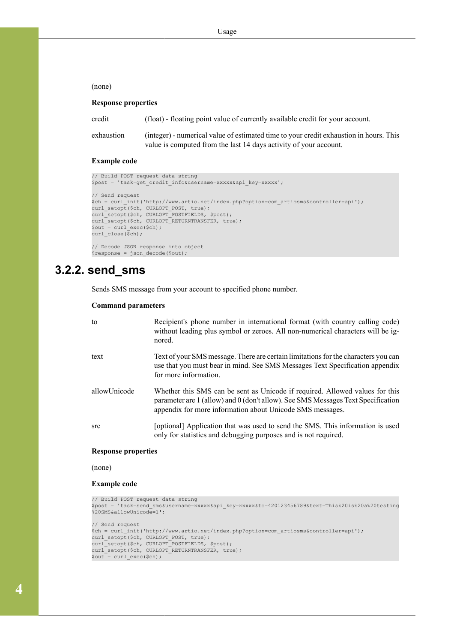(none)

### **Response properties**

| credit     | (float) - floating point value of currently available credit for your account.         |
|------------|----------------------------------------------------------------------------------------|
| exhaustion | (integer) - numerical value of estimated time to your credit exhaustion in hours. This |
|            | value is computed from the last 14 days activity of your account.                      |

#### **Example code**

```
// Build POST request data string
$post = 'task=get_credit_info&username=xxxxx&api_key=xxxxx';
// Send request
$ch = curl_init('http://www.artio.net/index.php?option=com_artiosms&controller=api');
curl setopt($ch, CURLOPT POST, true);
curl_setopt($ch, CURLOPT_POSTFIELDS, $post);
curl_setopt($ch, CURLOPT_RETURNTRANSFER, true);
\sqrt{3}out = curl exec($ch);
curl close(\overline{\$ch});
// Decode JSON response into object
$response = json_decode($out);
```
### **3.2.2. send\_sms**

Sends SMS message from your account to specified phone number.

#### **Command parameters**

| to           | Recipient's phone number in international format (with country calling code)<br>without leading plus symbol or zeroes. All non-numerical characters will be ig-<br>nored.                                                     |
|--------------|-------------------------------------------------------------------------------------------------------------------------------------------------------------------------------------------------------------------------------|
| text         | Text of your SMS message. There are certain limitations for the characters you can<br>use that you must bear in mind. See SMS Messages Text Specification appendix<br>for more information.                                   |
| allowUnicode | Whether this SMS can be sent as Unicode if required. Allowed values for this<br>parameter are 1 (allow) and 0 (don't allow). See SMS Messages Text Specification<br>appendix for more information about Unicode SMS messages. |
| src          | [optional] Application that was used to send the SMS. This information is used<br>only for statistics and debugging purposes and is not required.                                                                             |

#### **Response properties**

(none)

#### **Example code**

```
// Build POST request data string
$post = 'task=send_sms&username=xxxxx&api_key=xxxxx&to=420123456789&text=This%20is%20a%20testing
%20SMS&allowUnicode=1';
// Send request
$ch = curl_init('http://www.artio.net/index.php?option=com_artiosms&controller=api');
curl_setopt($ch, CURLOPT_POST, true);
curl_setopt($ch, CURLOPT_POSTFIELDS, $post);
curl_setopt($ch, CURLOPT_RETURNTRANSFER, true);
\sqrt{2} = curl exec($ch);
```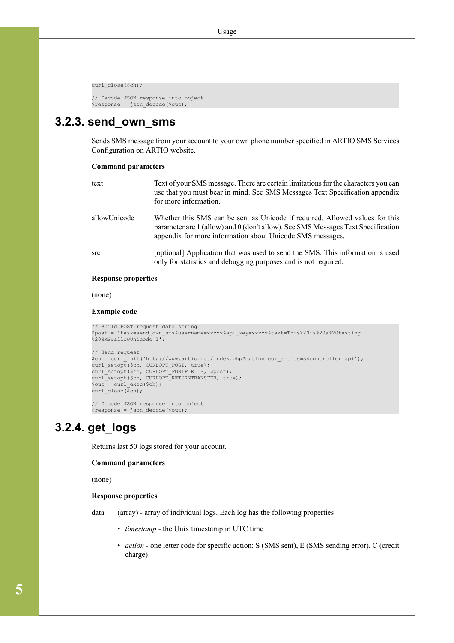curl\_close(\$ch);

```
// Decode JSON response into object
$response = json_decode($out);
```
### **3.2.3. send\_own\_sms**

Sends SMS message from your account to your own phone number specified in ARTIO SMS Services Configuration on ARTIO website.

#### **Command parameters**

| text         | Text of your SMS message. There are certain limitations for the characters you can<br>use that you must bear in mind. See SMS Messages Text Specification appendix<br>for more information.                                   |
|--------------|-------------------------------------------------------------------------------------------------------------------------------------------------------------------------------------------------------------------------------|
| allowUnicode | Whether this SMS can be sent as Unicode if required. Allowed values for this<br>parameter are 1 (allow) and 0 (don't allow). See SMS Messages Text Specification<br>appendix for more information about Unicode SMS messages. |
| <b>src</b>   | [optional] Application that was used to send the SMS. This information is used<br>only for statistics and debugging purposes and is not required.                                                                             |
|              |                                                                                                                                                                                                                               |

### **Response properties**

(none)

#### **Example code**

```
// Build POST request data string
$post = 'task=send_own_sms&username=xxxxx&api_key=xxxxx&text=This%20is%20a%20testing
%20SMS&allowUnicode=1';
// Send request
$ch = curl_init('http://www.artio.net/index.php?option=com_artiosms&controller=api');
curl_setopt($ch, CURLOPT_POST, true);
curl_setopt($ch, CURLOPT_POSTFIELDS, $post);
curl_setopt($ch, CURLOPT_RETURNTRANSFER, true);
$out = curl_exec($ch);
curl close(\frac{1}{5}ch);
// Decode JSON response into object
```
### \$response = json\_decode(\$out);

## **3.2.4. get\_logs**

Returns last 50 logs stored for your account.

### **Command parameters**

(none)

### **Response properties**

data (array) - array of individual logs. Each log has the following properties:

- *timestamp* the Unix timestamp in UTC time
- *action* one letter code for specific action: S (SMS sent), E (SMS sending error), C (credit charge)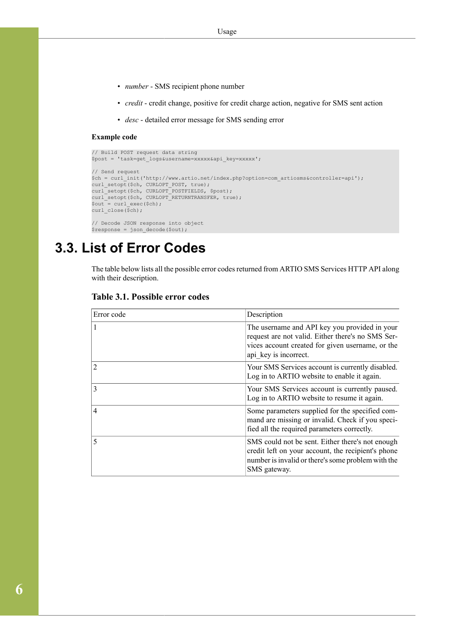- *number* SMS recipient phone number
- *credit* credit change, positive for credit charge action, negative for SMS sent action
- *desc* detailed error message for SMS sending error

#### **Example code**

```
// Build POST request data string
$post = 'task=get_logs&username=xxxxx&api_key=xxxxx';
// Send request
$ch = curl_init('http://www.artio.net/index.php?option=com_artiosms&controller=api');
curl_setopt($ch, CURLOPT_POST, true);
curl_setopt($ch, CURLOPT_POSTFIELDS, $post);
curl_setopt($ch, CURLOPT_RETURNTRANSFER, true);
$out = curl_exec($ch);
curl close(\overline{\S}ch);
// Decode JSON response into object
$response = json_decode($out);
```
## <span id="page-8-0"></span>**3.3. List of Error Codes**

The table below lists all the possible error codes returned from ARTIO SMS Services HTTP API along with their description.

| Error code     | Description                                                                                                                                                                     |
|----------------|---------------------------------------------------------------------------------------------------------------------------------------------------------------------------------|
| $\mathbf{1}$   | The username and API key you provided in your<br>request are not valid. Either there's no SMS Ser-<br>vices account created for given username, or the<br>api key is incorrect. |
| $\overline{2}$ | Your SMS Services account is currently disabled.<br>Log in to ARTIO website to enable it again.                                                                                 |
| 3              | Your SMS Services account is currently paused.<br>Log in to ARTIO website to resume it again.                                                                                   |
| $\overline{4}$ | Some parameters supplied for the specified com-<br>mand are missing or invalid. Check if you speci-<br>fied all the required parameters correctly.                              |
| 5              | SMS could not be sent. Either there's not enough<br>credit left on your account, the recipient's phone<br>number is invalid or there's some problem with the<br>SMS gateway.    |

### **Table 3.1. Possible error codes**